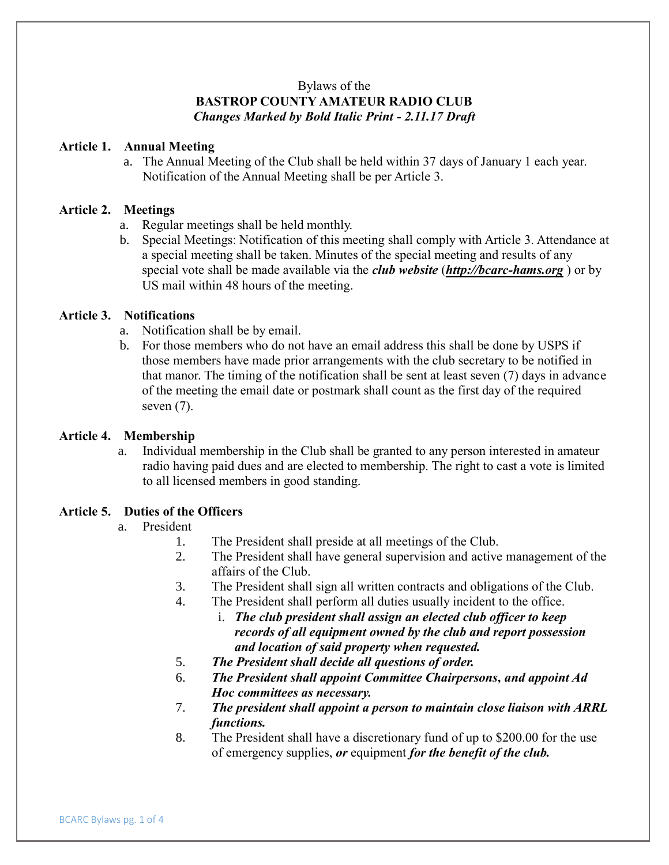# Bylaws of the **BASTROP COUNTY AMATEUR RADIO CLUB** *Changes Marked by Bold Italic Print - 2.11.17 Draft*

## **Article 1. Annual Meeting**

a. The Annual Meeting of the Club shall be held within 37 days of January 1 each year. Notification of the Annual Meeting shall be per Article 3.

### **Article 2. Meetings**

- a. Regular meetings shall be held monthly.
- b. Special Meetings: Notification of this meeting shall comply with Article 3. Attendance at a special meeting shall be taken. Minutes of the special meeting and results of any special vote shall be made available via the *club website* (*[http://bc](http://groups.yahoo.com/group/bcarchams)arc-hams.org* ) or by US mail within 48 hours of the meeting.

## **Article 3. Notifications**

- a. Notification shall be by email.
- b. For those members who do not have an email address this shall be done by USPS if those members have made prior arrangements with the club secretary to be notified in that manor. The timing of the notification shall be sent at least seven (7) days in advance of the meeting the email date or postmark shall count as the first day of the required seven  $(7)$ .

### **Article 4. Membership**

a. Individual membership in the Club shall be granted to any person interested in amateur radio having paid dues and are elected to membership. The right to cast a vote is limited to all licensed members in good standing.

## **Article 5. Duties of the Officers**

### a. President

- 1. The President shall preside at all meetings of the Club.
- 2. The President shall have general supervision and active management of the affairs of the Club.
- 3. The President shall sign all written contracts and obligations of the Club.
- 4. The President shall perform all duties usually incident to the office.
	- i. *The club president shall assign an elected club officer to keep records of all equipment owned by the club and report possession and location of said property when requested.*
- 5. *The President shall decide all questions of order.*
- 6. *The President shall appoint Committee Chairpersons, and appoint Ad Hoc committees as necessary.*
- 7. *The president shall appoint a person to maintain close liaison with ARRL functions.*
- 8. The President shall have a discretionary fund of up to \$200.00 for the use of emergency supplies, *or* equipment *for the benefit of the club.*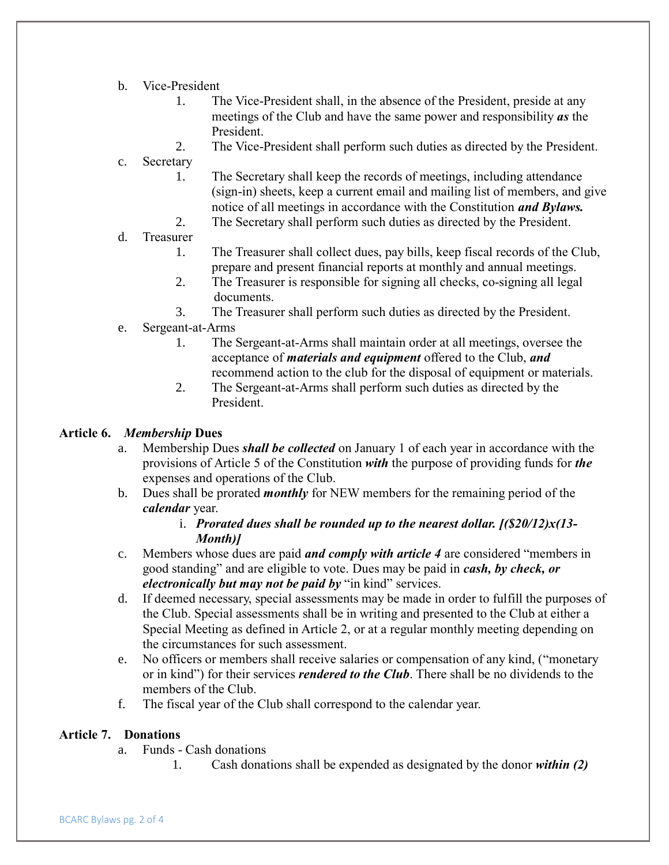- b. Vice-President
	- 1. The Vice-President shall, in the absence of the President, preside at any meetings of the Club and have the same power and responsibility *as* the President.
	- 2. The Vice-President shall perform such duties as directed by the President.
- c. Secretary
	- 1. The Secretary shall keep the records of meetings, including attendance (sign-in) sheets, keep a current email and mailing list of members, and give notice of all meetings in accordance with the Constitution *and Bylaws.*
	- 2. The Secretary shall perform such duties as directed by the President.
- d. Treasurer
	- 1. The Treasurer shall collect dues, pay bills, keep fiscal records of the Club, prepare and present financial reports at monthly and annual meetings.
	- 2. The Treasurer is responsible for signing all checks, co-signing all legal documents.
	- 3. The Treasurer shall perform such duties as directed by the President.
- e. Sergeant-at-Arms
	- 1. The Sergeant-at-Arms shall maintain order at all meetings, oversee the acceptance of *materials and equipment* offered to the Club, *and* recommend action to the club for the disposal of equipment or materials.
	- 2. The Sergeant-at-Arms shall perform such duties as directed by the President.

### **Article 6.** *Membership* **Dues**

- a. Membership Dues *shall be collected* on January 1 of each year in accordance with the provisions of Article 5 of the Constitution *with* the purpose of providing funds for *the* expenses and operations of the Club.
- b. Dues shall be prorated *monthly* for NEW members for the remaining period of the *calendar* year.

# i. *Prorated dues shall be rounded up to the nearest dollar. [(\$20/12)x(13- Month)]*

- c. Members whose dues are paid *and comply with article 4* are considered "members in good standing" and are eligible to vote. Dues may be paid in *cash, by check, or electronically but may not be paid by* "in kind" services.
- d. If deemed necessary, special assessments may be made in order to fulfill the purposes of the Club. Special assessments shall be in writing and presented to the Club at either a Special Meeting as defined in Article 2, or at a regular monthly meeting depending on the circumstances for such assessment.
- e. No officers or members shall receive salaries or compensation of any kind, ("monetary or in kind") for their services *rendered to the Club*. There shall be no dividends to the members of the Club.
- f. The fiscal year of the Club shall correspond to the calendar year.

## **Article 7. Donations**

- a. Funds Cash donations
	- 1. Cash donations shall be expended as designated by the donor *within (2)*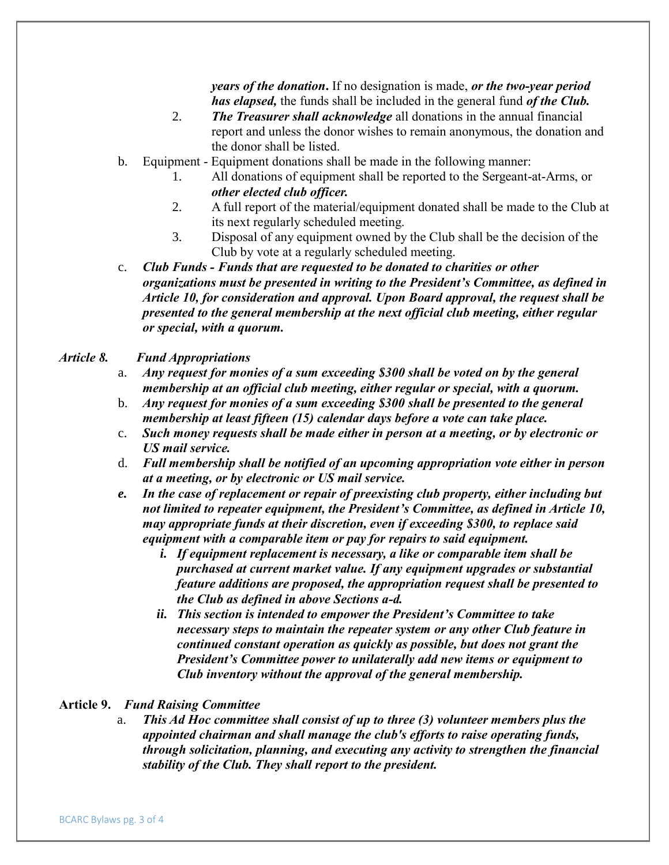*years of the donation***.** If no designation is made, *or the two-year period has elapsed,* the funds shall be included in the general fund *of the Club.* 

- 2. *The Treasurer shall acknowledge* all donations in the annual financial report and unless the donor wishes to remain anonymous, the donation and the donor shall be listed.
- b. Equipment Equipment donations shall be made in the following manner:
	- 1. All donations of equipment shall be reported to the Sergeant-at-Arms, or *other elected club officer.*
	- 2. A full report of the material/equipment donated shall be made to the Club at its next regularly scheduled meeting.
	- 3. Disposal of any equipment owned by the Club shall be the decision of the Club by vote at a regularly scheduled meeting.

c. *Club Funds - Funds that are requested to be donated to charities or other organizations must be presented in writing to the President's Committee, as defined in Article 10, for consideration and approval. Upon Board approval, the request shall be presented to the general membership at the next official club meeting, either regular or special, with a quorum.*

## *Article 8. Fund Appropriations*

- a. *Any request for monies of a sum exceeding \$300 shall be voted on by the general membership at an official club meeting, either regular or special, with a quorum.*
- b. *Any request for monies of a sum exceeding \$300 shall be presented to the general membership at least fifteen (15) calendar days before a vote can take place.*
- c. *Such money requests shall be made either in person at a meeting, or by electronic or US mail service.*
- d. *Full membership shall be notified of an upcoming appropriation vote either in person at a meeting, or by electronic or US mail service.*
- *e. In the case of replacement or repair of preexisting club property, either including but not limited to repeater equipment, the President's Committee, as defined in Article 10, may appropriate funds at their discretion, even if exceeding \$300, to replace said equipment with a comparable item or pay for repairs to said equipment.*
	- *i. If equipment replacement is necessary, a like or comparable item shall be purchased at current market value. If any equipment upgrades or substantial feature additions are proposed, the appropriation request shall be presented to the Club as defined in above Sections a-d.*
	- *ii. This section is intended to empower the President's Committee to take necessary steps to maintain the repeater system or any other Club feature in continued constant operation as quickly as possible, but does not grant the President's Committee power to unilaterally add new items or equipment to Club inventory without the approval of the general membership.*

### **Article 9.** *Fund Raising Committee*

a. *This Ad Hoc committee shall consist of up to three (3) volunteer members plus the appointed chairman and shall manage the club's efforts to raise operating funds, through solicitation, planning, and executing any activity to strengthen the financial stability of the Club. They shall report to the president.*